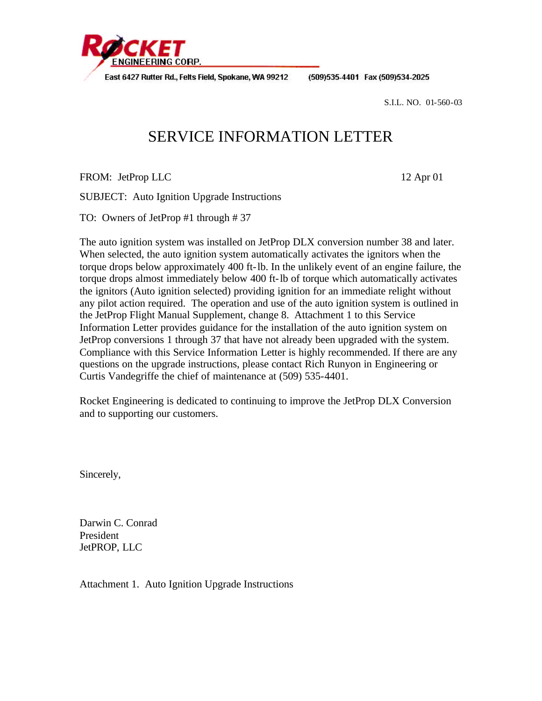

East 6427 Rutter Rd., Felts Field, Spokane, WA 99212

(509)535-4401 Fax (509)534-2025

S.I.L. NO. 01-560-03

## SERVICE INFORMATION LETTER

FROM: JetProp LLC 12 Apr 01

SUBJECT: Auto Ignition Upgrade Instructions

TO: Owners of JetProp #1 through # 37

The auto ignition system was installed on JetProp DLX conversion number 38 and later. When selected, the auto ignition system automatically activates the ignitors when the torque drops below approximately 400 ft-lb. In the unlikely event of an engine failure, the torque drops almost immediately below 400 ft-lb of torque which automatically activates the ignitors (Auto ignition selected) providing ignition for an immediate relight without any pilot action required. The operation and use of the auto ignition system is outlined in the JetProp Flight Manual Supplement, change 8. Attachment 1 to this Service Information Letter provides guidance for the installation of the auto ignition system on JetProp conversions 1 through 37 that have not already been upgraded with the system. Compliance with this Service Information Letter is highly recommended. If there are any questions on the upgrade instructions, please contact Rich Runyon in Engineering or Curtis Vandegriffe the chief of maintenance at (509) 535-4401.

Rocket Engineering is dedicated to continuing to improve the JetProp DLX Conversion and to supporting our customers.

Sincerely,

Darwin C. Conrad President JetPROP, LLC

Attachment 1. Auto Ignition Upgrade Instructions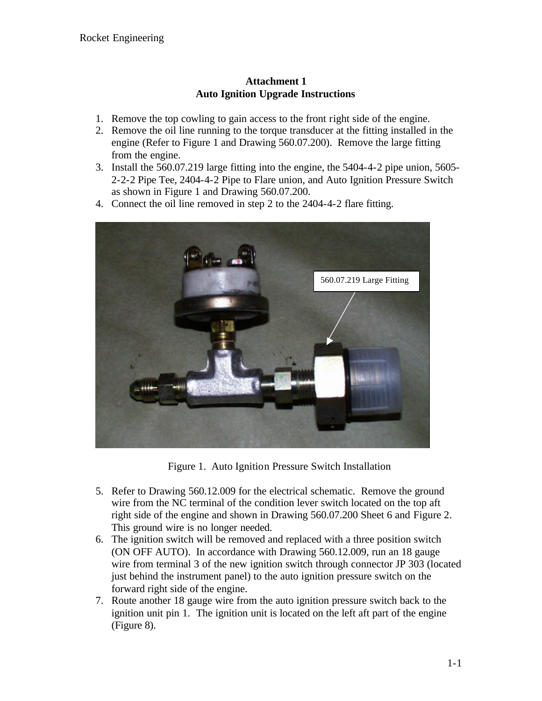## **Attachment 1 Auto Ignition Upgrade Instructions**

- 1. Remove the top cowling to gain access to the front right side of the engine.
- 2. Remove the oil line running to the torque transducer at the fitting installed in the engine (Refer to Figure 1 and Drawing 560.07.200). Remove the large fitting from the engine.
- 3. Install the 560.07.219 large fitting into the engine, the 5404-4-2 pipe union, 5605- 2-2-2 Pipe Tee, 2404-4-2 Pipe to Flare union, and Auto Ignition Pressure Switch as shown in Figure 1 and Drawing 560.07.200.
- 4. Connect the oil line removed in step 2 to the 2404-4-2 flare fitting.



Figure 1. Auto Ignition Pressure Switch Installation

- 5. Refer to Drawing 560.12.009 for the electrical schematic. Remove the ground wire from the NC terminal of the condition lever switch located on the top aft right side of the engine and shown in Drawing 560.07.200 Sheet 6 and Figure 2. This ground wire is no longer needed.
- 6. The ignition switch will be removed and replaced with a three position switch (ON OFF AUTO). In accordance with Drawing 560.12.009, run an 18 gauge wire from terminal 3 of the new ignition switch through connector JP 303 (located just behind the instrument panel) to the auto ignition pressure switch on the forward right side of the engine.
- 7. Route another 18 gauge wire from the auto ignition pressure switch back to the ignition unit pin 1. The ignition unit is located on the left aft part of the engine (Figure 8).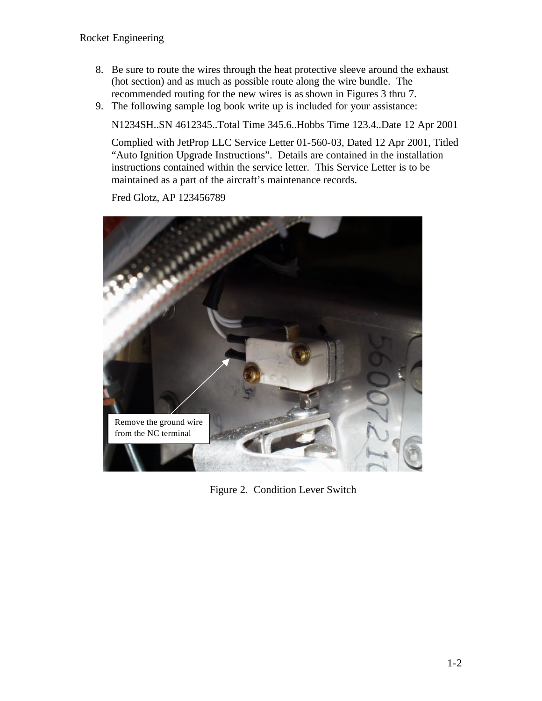- 8. Be sure to route the wires through the heat protective sleeve around the exhaust (hot section) and as much as possible route along the wire bundle. The recommended routing for the new wires is as shown in Figures 3 thru 7.
- 9. The following sample log book write up is included for your assistance:

N1234SH..SN 4612345..Total Time 345.6..Hobbs Time 123.4..Date 12 Apr 2001

Complied with JetProp LLC Service Letter 01-560-03, Dated 12 Apr 2001, Titled "Auto Ignition Upgrade Instructions". Details are contained in the installation instructions contained within the service letter. This Service Letter is to be maintained as a part of the aircraft's maintenance records.

Fred Glotz, AP 123456789



Figure 2. Condition Lever Switch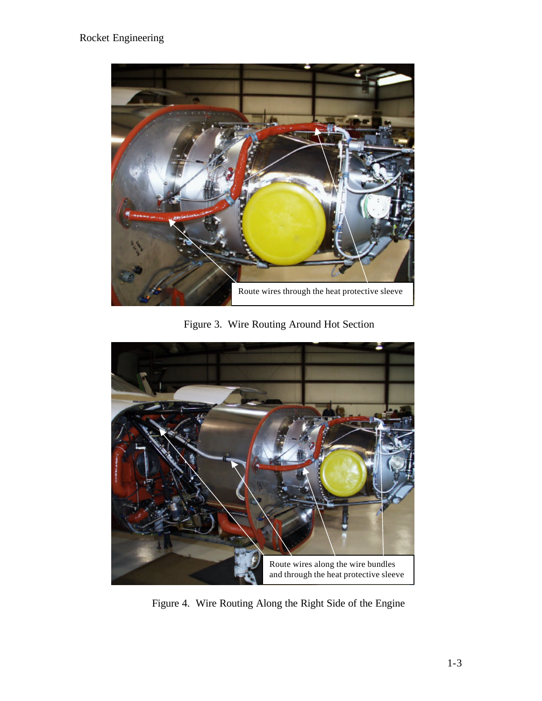## Rocket Engineering



Figure 3. Wire Routing Around Hot Section



Figure 4. Wire Routing Along the Right Side of the Engine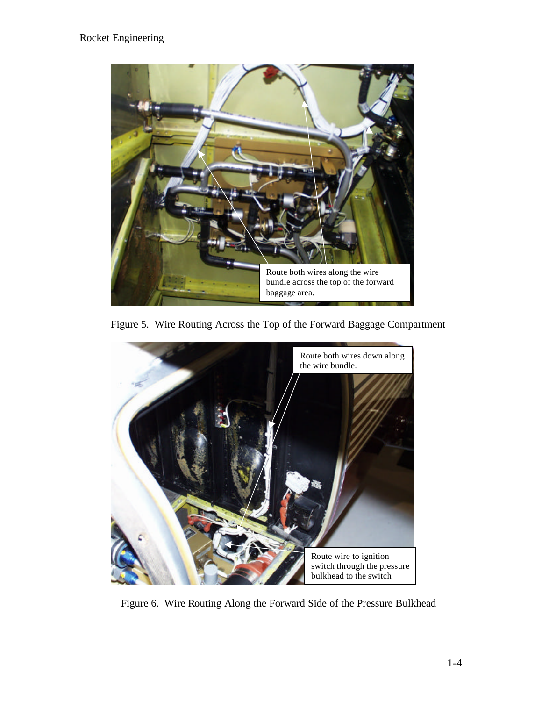

Figure 5. Wire Routing Across the Top of the Forward Baggage Compartment



Figure 6. Wire Routing Along the Forward Side of the Pressure Bulkhead